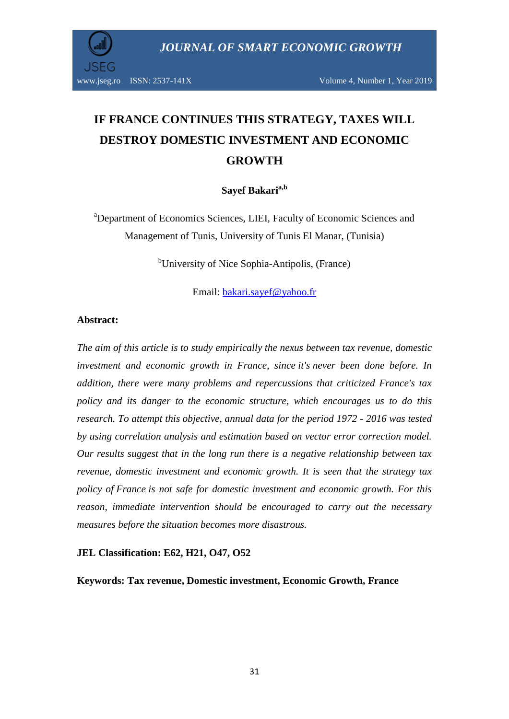

# **IF FRANCE CONTINUES THIS STRATEGY, TAXES WILL DESTROY DOMESTIC INVESTMENT AND ECONOMIC GROWTH**

# **Sayef Bakaria,b**

<sup>a</sup>Department of Economics Sciences, LIEI, Faculty of Economic Sciences and Management of Tunis, University of Tunis El Manar, (Tunisia)

<sup>b</sup>University of Nice Sophia-Antipolis, (France)

Email: [bakari.sayef@yahoo.fr](mailto:bakari.sayef@yahoo.fr)

#### **Abstract:**

*The aim of this article is to study empirically the nexus between tax revenue, domestic investment and economic growth in France, since it's never been done before. In addition, there were many problems and repercussions that criticized France's tax policy and its danger to the economic structure, which encourages us to do this research. To attempt this objective, annual data for the period 1972 - 2016 was tested by using correlation analysis and estimation based on vector error correction model. Our results suggest that in the long run there is a negative relationship between tax revenue, domestic investment and economic growth. It is seen that the strategy tax policy of France is not safe for domestic investment and economic growth. For this reason, immediate intervention should be encouraged to carry out the necessary measures before the situation becomes more disastrous.*

#### **JEL Classification: E62, H21, O47, O52**

**Keywords: Tax revenue, Domestic investment, Economic Growth, France**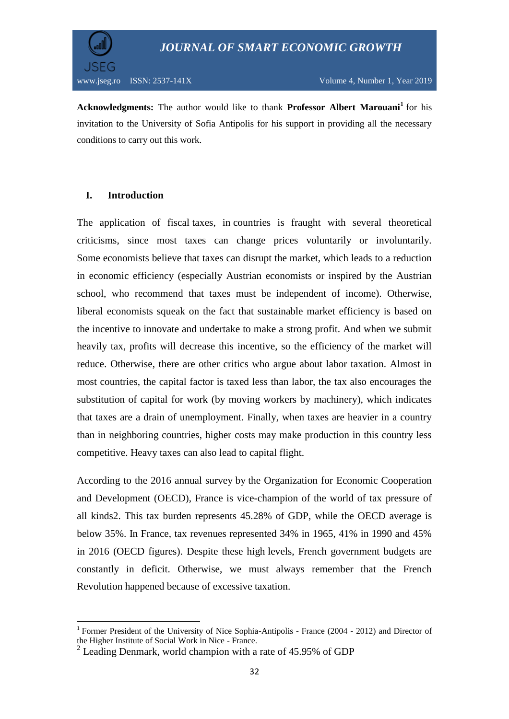

**Acknowledgments:** The author would like to thank **Professor Albert Marouani<sup>1</sup>** for his invitation to the University of Sofia Antipolis for his support in providing all the necessary conditions to carry out this work.

# **I. Introduction**

**.** 

The application of fiscal taxes, in countries is fraught with several theoretical criticisms, since most taxes can change prices voluntarily or involuntarily. Some economists believe that taxes can disrupt the market, which leads to a reduction in economic efficiency (especially Austrian economists or inspired by the Austrian school, who recommend that taxes must be independent of income). Otherwise, liberal economists squeak on the fact that sustainable market efficiency is based on the incentive to innovate and undertake to make a strong profit. And when we submit heavily tax, profits will decrease this incentive, so the efficiency of the market will reduce. Otherwise, there are other critics who argue about labor taxation. Almost in most countries, the capital factor is taxed less than labor, the tax also encourages the substitution of capital for work (by moving workers by machinery), which indicates that taxes are a drain of unemployment. Finally, when taxes are heavier in a country than in neighboring countries, higher costs may make production in this country less competitive. Heavy taxes can also lead to capital flight.

According to the 2016 annual survey by the Organization for Economic Cooperation and Development (OECD), France is vice-champion of the world of tax pressure of all kinds2. This tax burden represents 45.28% of GDP, while the OECD average is below 35%. In France, tax revenues represented 34% in 1965, 41% in 1990 and 45% in 2016 (OECD figures). Despite these high levels, French government budgets are constantly in deficit. Otherwise, we must always remember that the French Revolution happened because of excessive taxation.

<sup>&</sup>lt;sup>1</sup> Former President of the University of Nice Sophia-Antipolis - France (2004 - 2012) and Director of the Higher Institute of Social Work in Nice - France.

 $2$  Leading Denmark, world champion with a rate of 45.95% of GDP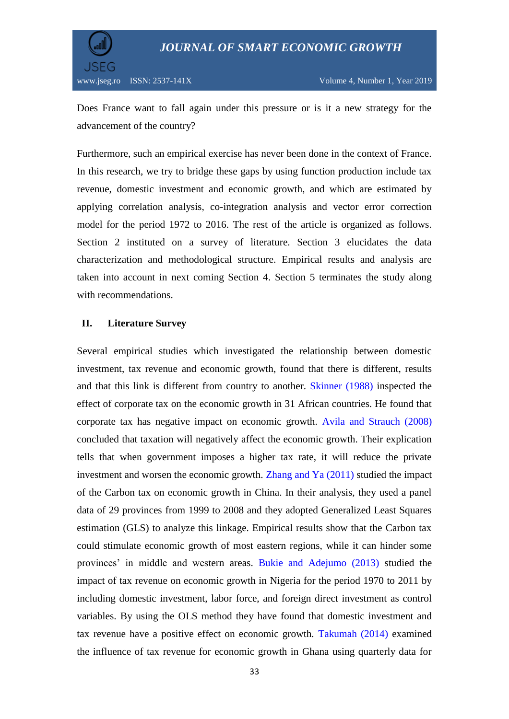

Does France want to fall again under this pressure or is it a new strategy for the advancement of the country?

Furthermore, such an empirical exercise has never been done in the context of France. In this research, we try to bridge these gaps by using function production include tax revenue, domestic investment and economic growth, and which are estimated by applying correlation analysis, co-integration analysis and vector error correction model for the period 1972 to 2016. The rest of the article is organized as follows. Section 2 instituted on a survey of literature. Section 3 elucidates the data characterization and methodological structure. Empirical results and analysis are taken into account in next coming Section 4. Section 5 terminates the study along with recommendations.

#### **II. Literature Survey**

Several empirical studies which investigated the relationship between domestic investment, tax revenue and economic growth, found that there is different, results and that this link is different from country to another. Skinner (1988) inspected the effect of corporate tax on the economic growth in 31 African countries. He found that corporate tax has negative impact on economic growth. Avila and Strauch (2008) concluded that taxation will negatively affect the economic growth. Their explication tells that when government imposes a higher tax rate, it will reduce the private investment and worsen the economic growth. Zhang and Ya (2011) studied the impact of the Carbon tax on economic growth in China. In their analysis, they used a panel data of 29 provinces from 1999 to 2008 and they adopted Generalized Least Squares estimation (GLS) to analyze this linkage. Empirical results show that the Carbon tax could stimulate economic growth of most eastern regions, while it can hinder some provinces" in middle and western areas. Bukie and Adejumo (2013) studied the impact of tax revenue on economic growth in Nigeria for the period 1970 to 2011 by including domestic investment, labor force, and foreign direct investment as control variables. By using the OLS method they have found that domestic investment and tax revenue have a positive effect on economic growth. Takumah (2014) examined the influence of tax revenue for economic growth in Ghana using quarterly data for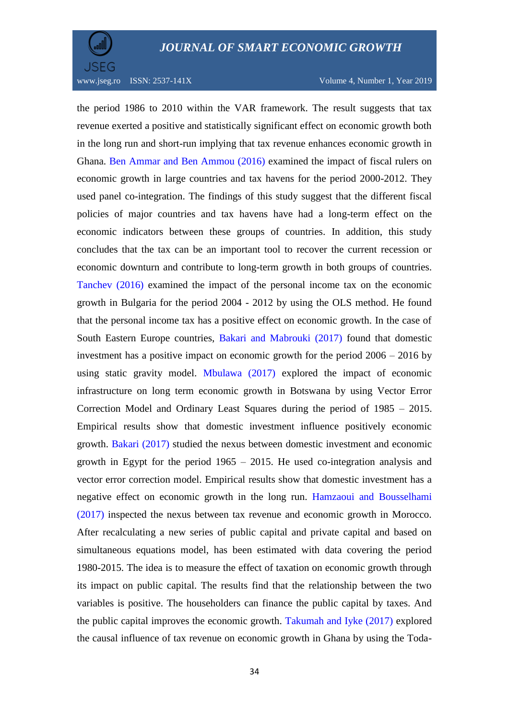

the period 1986 to 2010 within the VAR framework. The result suggests that tax revenue exerted a positive and statistically significant effect on economic growth both in the long run and short-run implying that tax revenue enhances economic growth in Ghana. Ben Ammar and Ben Ammou (2016) examined the impact of fiscal rulers on economic growth in large countries and tax havens for the period 2000-2012. They used panel co-integration. The findings of this study suggest that the different fiscal policies of major countries and tax havens have had a long-term effect on the economic indicators between these groups of countries. In addition, this study concludes that the tax can be an important tool to recover the current recession or economic downturn and contribute to long-term growth in both groups of countries. Tanchev (2016) examined the impact of the personal income tax on the economic growth in Bulgaria for the period 2004 - 2012 by using the OLS method. He found that the personal income tax has a positive effect on economic growth. In the case of South Eastern Europe countries, Bakari and Mabrouki (2017) found that domestic investment has a positive impact on economic growth for the period 2006 – 2016 by using static gravity model. Mbulawa (2017) explored the impact of economic infrastructure on long term economic growth in Botswana by using Vector Error Correction Model and Ordinary Least Squares during the period of 1985 – 2015. Empirical results show that domestic investment influence positively economic growth. Bakari (2017) studied the nexus between domestic investment and economic growth in Egypt for the period 1965 – 2015. He used co-integration analysis and vector error correction model. Empirical results show that domestic investment has a negative effect on economic growth in the long run. Hamzaoui and Bousselhami (2017) inspected the nexus between tax revenue and economic growth in Morocco. After recalculating a new series of public capital and private capital and based on simultaneous equations model, has been estimated with data covering the period 1980-2015. The idea is to measure the effect of taxation on economic growth through its impact on public capital. The results find that the relationship between the two variables is positive. The householders can finance the public capital by taxes. And the public capital improves the economic growth. Takumah and Iyke (2017) explored the causal influence of tax revenue on economic growth in Ghana by using the Toda-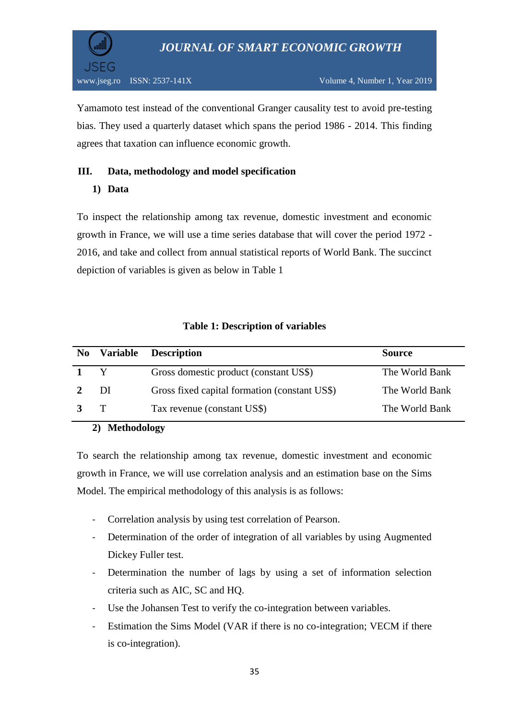

Yamamoto test instead of the conventional Granger causality test to avoid pre-testing bias. They used a quarterly dataset which spans the period 1986 - 2014. This finding agrees that taxation can influence economic growth.

# **III. Data, methodology and model specification**

# **1) Data**

To inspect the relationship among tax revenue, domestic investment and economic growth in France, we will use a time series database that will cover the period 1972 - 2016, and take and collect from annual statistical reports of World Bank. The succinct depiction of variables is given as below in Table 1

|             | No Variable  | <b>Description</b>                            | <b>Source</b>  |
|-------------|--------------|-----------------------------------------------|----------------|
| $1 \quad Y$ |              | Gross domestic product (constant US\$)        | The World Bank |
|             | DI           | Gross fixed capital formation (constant US\$) | The World Bank |
|             | $\mathbf{T}$ | Tax revenue (constant US\$)                   | The World Bank |

# **Table 1: Description of variables**

# **2) Methodology**

To search the relationship among tax revenue, domestic investment and economic growth in France, we will use correlation analysis and an estimation base on the Sims Model. The empirical methodology of this analysis is as follows:

- Correlation analysis by using test correlation of Pearson.
- Determination of the order of integration of all variables by using Augmented Dickey Fuller test.
- Determination the number of lags by using a set of information selection criteria such as AIC, SC and HQ.
- Use the Johansen Test to verify the co-integration between variables.
- Estimation the Sims Model (VAR if there is no co-integration; VECM if there is co-integration).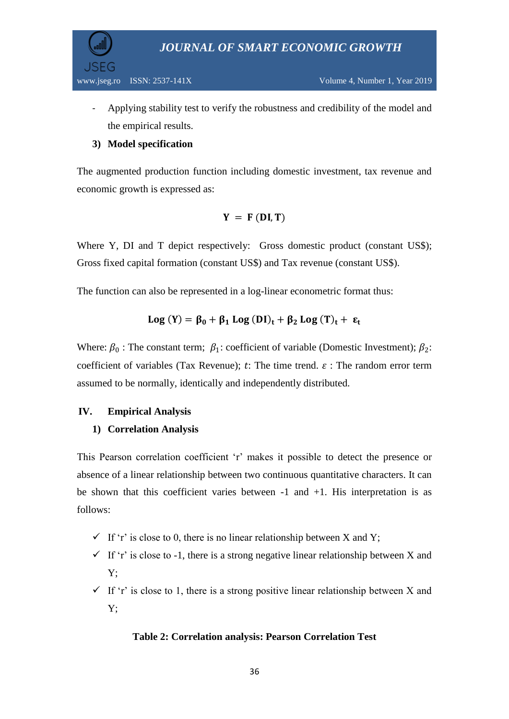

- Applying stability test to verify the robustness and credibility of the model and the empirical results.

# **3) Model specification**

The augmented production function including domestic investment, tax revenue and economic growth is expressed as:

$$
Y = F(DI, T)
$$

Where Y, DI and T depict respectively: Gross domestic product (constant US\$); Gross fixed capital formation (constant US\$) and Tax revenue (constant US\$).

The function can also be represented in a log-linear econometric format thus:

$$
Log(Y) = \beta_0 + \beta_1 Log(DI)_t + \beta_2 Log(T)_t + \epsilon_t
$$

Where:  $\beta_0$ : The constant term;  $\beta_1$ : coefficient of variable (Domestic Investment);  $\beta_2$ : coefficient of variables (Tax Revenue);  $t$ : The time trend.  $\varepsilon$ : The random error term assumed to be normally, identically and independently distributed.

# **IV. Empirical Analysis**

# **1) Correlation Analysis**

This Pearson correlation coefficient 'r' makes it possible to detect the presence or absence of a linear relationship between two continuous quantitative characters. It can be shown that this coefficient varies between -1 and +1. His interpretation is as follows:

- $\checkmark$  If 'r' is close to 0, there is no linear relationship between X and Y;
- $\checkmark$  If 'r' is close to -1, there is a strong negative linear relationship between X and Y;
- $\checkmark$  If 'r' is close to 1, there is a strong positive linear relationship between X and Y;

# **Table 2: Correlation analysis: Pearson Correlation Test**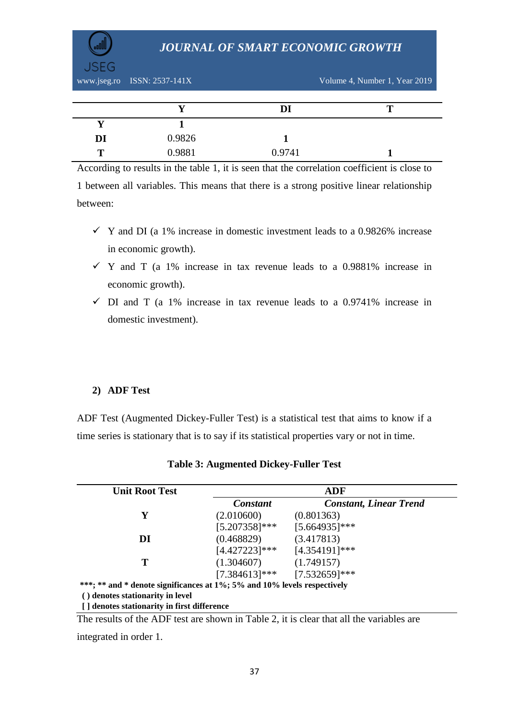www.jseg.ro ISSN: 2537-141X Volume 4, Number 1, Year 2019

|    |        | DI     | m |
|----|--------|--------|---|
|    |        |        |   |
| DI | 0.9826 |        |   |
| т  | 0.9881 | 0.9741 |   |

According to results in the table 1, it is seen that the correlation coefficient is close to 1 between all variables. This means that there is a strong positive linear relationship between:

- $\checkmark$  Y and DI (a 1% increase in domestic investment leads to a 0.9826% increase in economic growth).
- $\checkmark$  Y and T (a 1% increase in tax revenue leads to a 0.9881% increase in economic growth).
- $\checkmark$  DI and T (a 1% increase in tax revenue leads to a 0.9741% increase in domestic investment).

# **2) ADF Test**

ADF Test (Augmented Dickey-Fuller Test) is a statistical test that aims to know if a time series is stationary that is to say if its statistical properties vary or not in time.

| <b>Unit Root Test</b>                                                    | ADF              |                                   |  |
|--------------------------------------------------------------------------|------------------|-----------------------------------|--|
|                                                                          | <b>Constant</b>  | <b>Constant, Linear Trend</b>     |  |
| Y                                                                        | (2.010600)       | (0.801363)                        |  |
|                                                                          | $[5.207358]$ *** | $[5.664935]$ ***                  |  |
| DI                                                                       | (0.468829)       | (3.417813)                        |  |
|                                                                          | $[4.427223]$ *** | [4.354191]***                     |  |
| Т                                                                        | (1.304607)       | (1.749157)                        |  |
|                                                                          |                  | $[7.384613]$ *** $[7.532659]$ *** |  |
| ***; ** and * denote significances at 1%; 5% and 10% levels respectively |                  |                                   |  |
| () denotes stationarity in level                                         |                  |                                   |  |
| [] denotes stationarity in first difference                              |                  |                                   |  |

|  |  | <b>Table 3: Augmented Dickey-Fuller Test</b> |  |
|--|--|----------------------------------------------|--|
|--|--|----------------------------------------------|--|

The results of the ADF test are shown in Table 2, it is clear that all the variables are

integrated in order 1.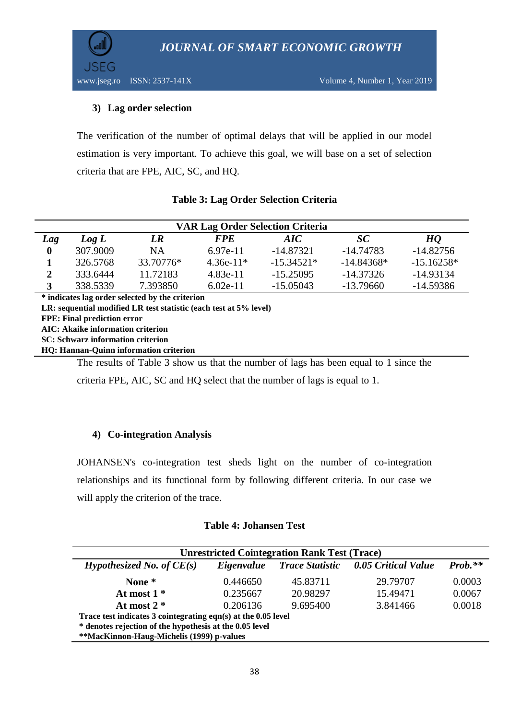JSEG

## **3) Lag order selection**

The verification of the number of optimal delays that will be applied in our model estimation is very important. To achieve this goal, we will base on a set of selection criteria that are FPE, AIC, SC, and HQ.

| <b>VAR Lag Order Selection Criteria</b>         |          |           |             |              |              |                |
|-------------------------------------------------|----------|-----------|-------------|--------------|--------------|----------------|
| Lag                                             | Log L    | LR        | <b>FPE</b>  | AIC.         | SC           | H <sub>0</sub> |
| $\boldsymbol{0}$                                | 307.9009 | <b>NA</b> | $6.97e-11$  | $-14.87321$  | $-14.74783$  | $-14.82756$    |
|                                                 | 326,5768 | 33.70776* | $4.36e-11*$ | $-15.34521*$ | $-14.84368*$ | $-15.16258*$   |
| 2                                               | 333.6444 | 11.72183  | 4.83e-11    | $-15.25095$  | $-14.37326$  | $-14.93134$    |
| 3                                               | 338.5339 | 7.393850  | $6.02e-11$  | $-15.05043$  | $-13.79660$  | -14.59386      |
| * indicates lag order selected by the criterian |          |           |             |              |              |                |

## **Table 3: Lag Order Selection Criteria**

**\* indicates lag order selected by the criterion LR: sequential modified LR test statistic (each test at 5% level) FPE: Final prediction error AIC: Akaike information criterion SC: Schwarz information criterion HQ: Hannan-Quinn information criterion**

The results of Table 3 show us that the number of lags has been equal to 1 since the

criteria FPE, AIC, SC and HQ select that the number of lags is equal to 1.

#### **4) Co-integration Analysis**

JOHANSEN's co-integration test sheds light on the number of co-integration relationships and its functional form by following different criteria. In our case we will apply the criterion of the trace.

#### **Table 4: Johansen Test**

| <b>Unrestricted Cointegration Rank Test (Trace)</b>           |            |                        |                     |           |  |  |
|---------------------------------------------------------------|------------|------------------------|---------------------|-----------|--|--|
| <i>Hypothesized No. of <math>CE(s)</math></i>                 | Eigenvalue | <b>Trace Statistic</b> | 0.05 Critical Value | $Prob.**$ |  |  |
| None *                                                        | 0.446650   | 45.83711               | 29.79707            | 0.0003    |  |  |
| At most $1*$                                                  | 0.235667   | 20.98297               | 15.49471            | 0.0067    |  |  |
| At most $2 *$                                                 | 0.206136   | 9.695400               | 3.841466            | 0.0018    |  |  |
| Trace test indicates 3 cointegrating eqn(s) at the 0.05 level |            |                        |                     |           |  |  |
| * denotes rejection of the hypothesis at the 0.05 level       |            |                        |                     |           |  |  |
| **MacKinnon-Haug-Michelis (1999) p-values                     |            |                        |                     |           |  |  |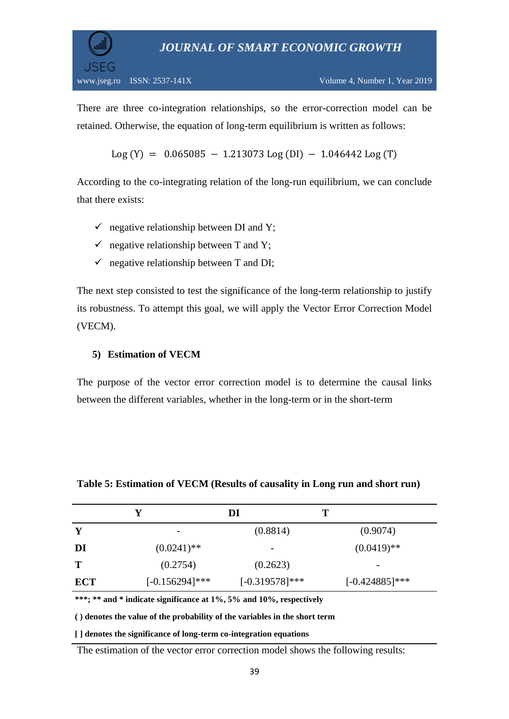www.jseg.ro ISSN: 2537-141X Volume 4, Number 1, Year 2019

JSEG

There are three co-integration relationships, so the error-correction model can be retained. Otherwise, the equation of long-term equilibrium is written as follows:

Log (Y) =  $0.065085 - 1.213073$  Log (DI)  $- 1.046442$  Log (T)

According to the co-integrating relation of the long-run equilibrium, we can conclude that there exists:

- $\checkmark$  negative relationship between DI and Y;
- $\checkmark$  negative relationship between T and Y;
- $\checkmark$  negative relationship between T and DI;

The next step consisted to test the significance of the long-term relationship to justify its robustness. To attempt this goal, we will apply the Vector Error Correction Model (VECM).

#### **5) Estimation of VECM**

The purpose of the vector error correction model is to determine the causal links between the different variables, whether in the long-term or in the short-term

|            |                          | DI                | Т                 |
|------------|--------------------------|-------------------|-------------------|
| Y          | $\overline{\phantom{0}}$ | (0.8814)          | (0.9074)          |
| DI         | $(0.0241)$ <sup>**</sup> | -                 | $(0.0419)$ **     |
| Т          | (0.2754)                 | (0.2623)          |                   |
| <b>ECT</b> | $[-0.156294]$ ***        | $[-0.319578]$ *** | $[-0.424885]$ *** |

**Table 5: Estimation of VECM (Results of causality in Long run and short run)** 

**\*\*\*; \*\* and \* indicate significance at 1%, 5% and 10%, respectively**

**( ) denotes the value of the probability of the variables in the short term**

**[ ] denotes the significance of long-term co-integration equations**

The estimation of the vector error correction model shows the following results: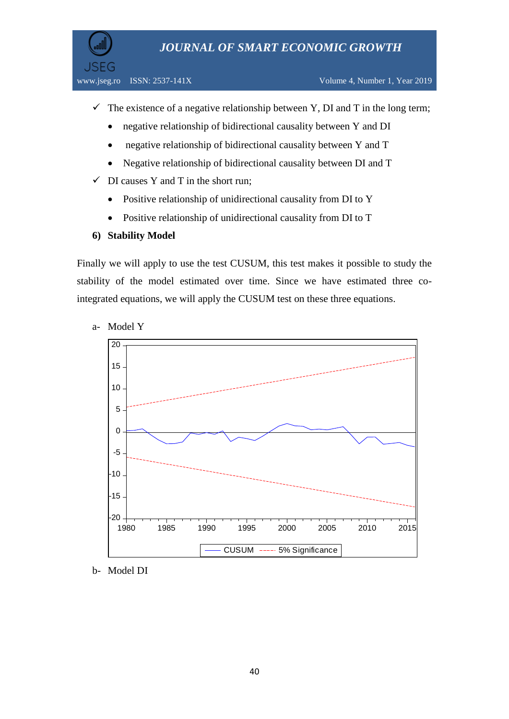**JSEG** 

- $\checkmark$  The existence of a negative relationship between Y, DI and T in the long term;
	- negative relationship of bidirectional causality between Y and DI
	- negative relationship of bidirectional causality between Y and T
	- Negative relationship of bidirectional causality between DI and T
- $\checkmark$  DI causes Y and T in the short run;
	- Positive relationship of unidirectional causality from DI to Y
	- Positive relationship of unidirectional causality from DI to T
- **6) Stability Model**

Finally we will apply to use the test CUSUM, this test makes it possible to study the stability of the model estimated over time. Since we have estimated three cointegrated equations, we will apply the CUSUM test on these three equations.

- -20 -15 -10 -5 0 5 10 15 20 1980 1985 1990 1995 2000 2005 2010 2015 CUSUM ----- 5% Significance
- a- Model Y

b- Model DI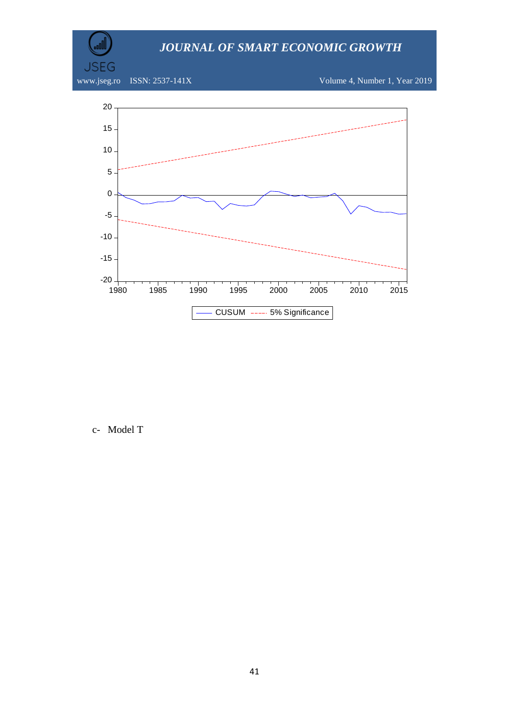www.jseg.ro ISSN: 2537-141X Volume 4, Number 1, Year 2019

**JSEG** 



c- Model T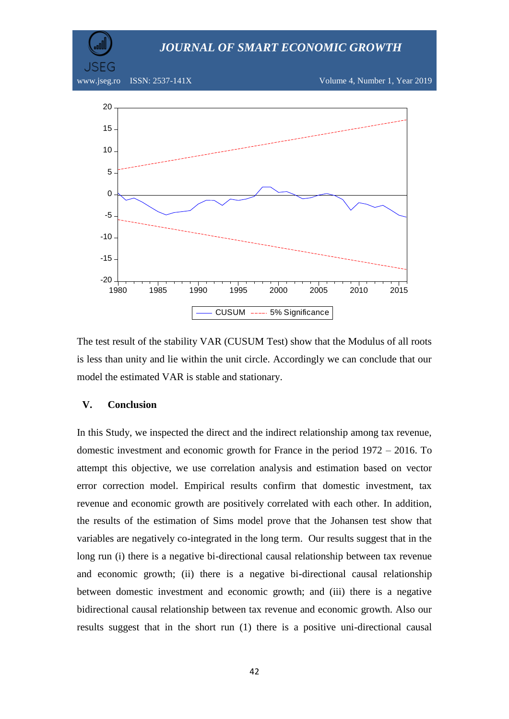

The test result of the stability VAR (CUSUM Test) show that the Modulus of all roots is less than unity and lie within the unit circle. Accordingly we can conclude that our model the estimated VAR is stable and stationary.

#### **V. Conclusion**

In this Study, we inspected the direct and the indirect relationship among tax revenue, domestic investment and economic growth for France in the period 1972 – 2016. To attempt this objective, we use correlation analysis and estimation based on vector error correction model. Empirical results confirm that domestic investment, tax revenue and economic growth are positively correlated with each other. In addition, the results of the estimation of Sims model prove that the Johansen test show that variables are negatively co-integrated in the long term. Our results suggest that in the long run (i) there is a negative bi-directional causal relationship between tax revenue and economic growth; (ii) there is a negative bi-directional causal relationship between domestic investment and economic growth; and (iii) there is a negative bidirectional causal relationship between tax revenue and economic growth. Also our results suggest that in the short run (1) there is a positive uni-directional causal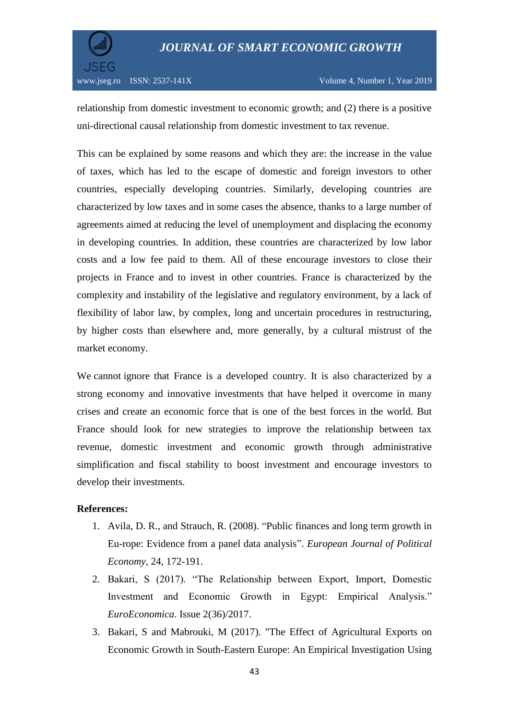

www.jseg.ro ISSN: 2537-141X Volume 4, Number 1, Year 2019

relationship from domestic investment to economic growth; and (2) there is a positive uni-directional causal relationship from domestic investment to tax revenue.

This can be explained by some reasons and which they are: the increase in the value of taxes, which has led to the escape of domestic and foreign investors to other countries, especially developing countries. Similarly, developing countries are characterized by low taxes and in some cases the absence, thanks to a large number of agreements aimed at reducing the level of unemployment and displacing the economy in developing countries. In addition, these countries are characterized by low labor costs and a low fee paid to them. All of these encourage investors to close their projects in France and to invest in other countries. France is characterized by the complexity and instability of the legislative and regulatory environment, by a lack of flexibility of labor law, by complex, long and uncertain procedures in restructuring, by higher costs than elsewhere and, more generally, by a cultural mistrust of the market economy.

We cannot ignore that France is a developed country. It is also characterized by a strong economy and innovative investments that have helped it overcome in many crises and create an economic force that is one of the best forces in the world. But France should look for new strategies to improve the relationship between tax revenue, domestic investment and economic growth through administrative simplification and fiscal stability to boost investment and encourage investors to develop their investments.

# **References:**

- 1. Avila, D. R., and Strauch, R. (2008). "Public finances and long term growth in Eu-rope: Evidence from a panel data analysis". *European Journal of Political Economy,* 24, 172-191.
- 2. Bakari, S (2017). "The Relationship between Export, Import, Domestic Investment and Economic Growth in Egypt: Empirical Analysis." *EuroEconomica*. Issue 2(36)/2017.
- 3. Bakari, S and Mabrouki, M (2017). "The Effect of Agricultural Exports on Economic Growth in South-Eastern Europe: An Empirical Investigation Using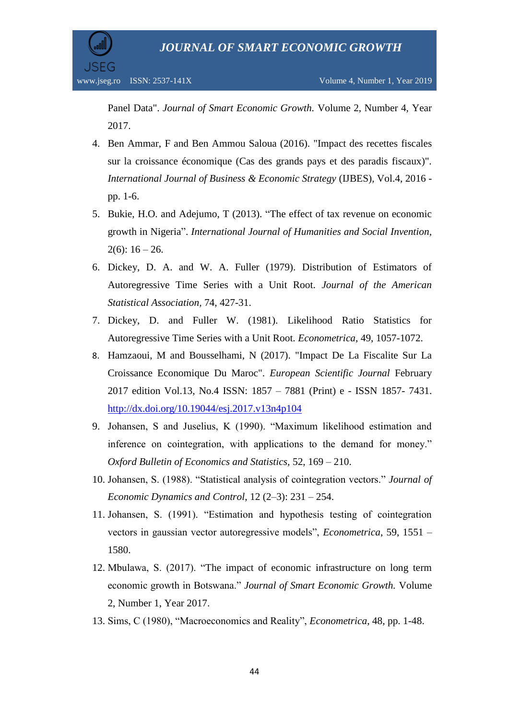

Panel Data". *Journal of Smart Economic Growth.* Volume 2, Number 4, Year 2017.

- 4. Ben Ammar, F and Ben Ammou Saloua (2016). "Impact des recettes fiscales sur la croissance économique (Cas des grands pays et des paradis fiscaux)". *International Journal of Business & Economic Strategy* (IJBES), Vol.4, 2016 pp. 1-6.
- 5. Bukie, H.O. and Adejumo, T (2013). "The effect of tax revenue on economic growth in Nigeria". *International Journal of Humanities and Social Invention,*  $2(6)$ :  $16 - 26$ .
- 6. Dickey, D. A. and W. A. Fuller (1979). Distribution of Estimators of Autoregressive Time Series with a Unit Root. *Journal of the American Statistical Association,* 74, 427-31.
- 7. Dickey, D. and Fuller W. (1981). Likelihood Ratio Statistics for Autoregressive Time Series with a Unit Root. *Econometrica*, 49, 1057-1072.
- 8. Hamzaoui, M and Bousselhami, N (2017). "Impact De La Fiscalite Sur La Croissance Economique Du Maroc". *European Scientific Journal* February 2017 edition Vol.13, No.4 ISSN: 1857 – 7881 (Print) e - ISSN 1857- 7431. <http://dx.doi.org/10.19044/esj.2017.v13n4p104>
- 9. Johansen, S and Juselius, K (1990). "Maximum likelihood estimation and inference on cointegration, with applications to the demand for money." *Oxford Bulletin of Economics and Statistics,* 52, 169 – 210.
- 10. Johansen, S. (1988). "Statistical analysis of cointegration vectors." *Journal of Economic Dynamics and Control*, 12 (2–3): 231 – 254.
- 11. Johansen, S. (1991). "Estimation and hypothesis testing of cointegration vectors in gaussian vector autoregressive models", *Econometrica*, 59, 1551 – 1580.
- 12. Mbulawa, S. (2017). "The impact of economic infrastructure on long term economic growth in Botswana." *Journal of Smart Economic Growth.* Volume 2, Number 1, Year 2017.
- 13. Sims, C (1980), "Macroeconomics and Reality", *Econometrica*, 48, pp. 1-48.